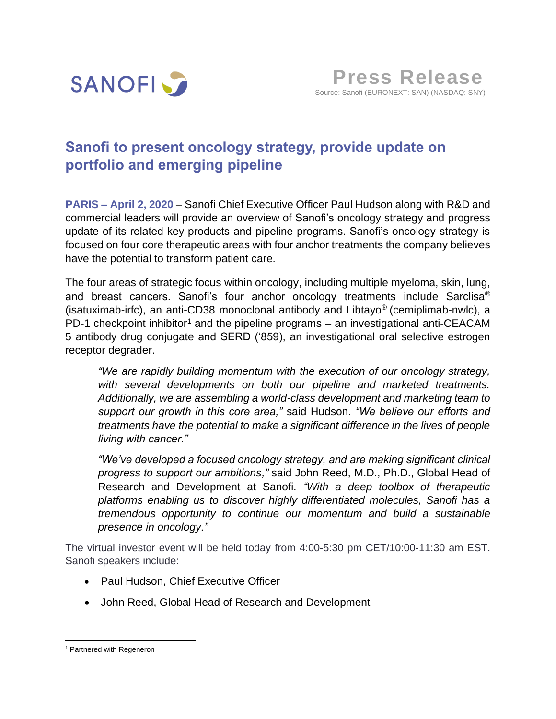

## **Sanofi to present oncology strategy, provide update on portfolio and emerging pipeline**

**PARIS – April 2, 2020** – Sanofi Chief Executive Officer Paul Hudson along with R&D and commercial leaders will provide an overview of Sanofi's oncology strategy and progress update of its related key products and pipeline programs. Sanofi's oncology strategy is focused on four core therapeutic areas with four anchor treatments the company believes have the potential to transform patient care.

The four areas of strategic focus within oncology, including multiple myeloma, skin, lung, and breast cancers. Sanofi's four anchor oncology treatments include Sarclisa<sup>®</sup> (isatuximab-irfc), an anti-CD38 monoclonal antibody and Libtayo® (cemiplimab-nwlc), a PD-1 checkpoint inhibitor<sup>1</sup> and the pipeline programs – an investigational anti-CEACAM 5 antibody drug conjugate and SERD ('859), an investigational oral selective estrogen receptor degrader.

*"We are rapidly building momentum with the execution of our oncology strategy, with several developments on both our pipeline and marketed treatments. Additionally, we are assembling a world-class development and marketing team to support our growth in this core area,"* said Hudson. *"We believe our efforts and treatments have the potential to make a significant difference in the lives of people living with cancer."*

*"We've developed a focused oncology strategy, and are making significant clinical progress to support our ambitions,"* said John Reed, M.D., Ph.D., Global Head of Research and Development at Sanofi*. "With a deep toolbox of therapeutic platforms enabling us to discover highly differentiated molecules, Sanofi has a tremendous opportunity to continue our momentum and build a sustainable presence in oncology."* 

The virtual investor event will be held today from 4:00-5:30 pm CET/10:00-11:30 am EST. Sanofi speakers include:

- Paul Hudson, Chief Executive Officer
- John Reed, Global Head of Research and Development

<sup>1</sup> Partnered with Regeneron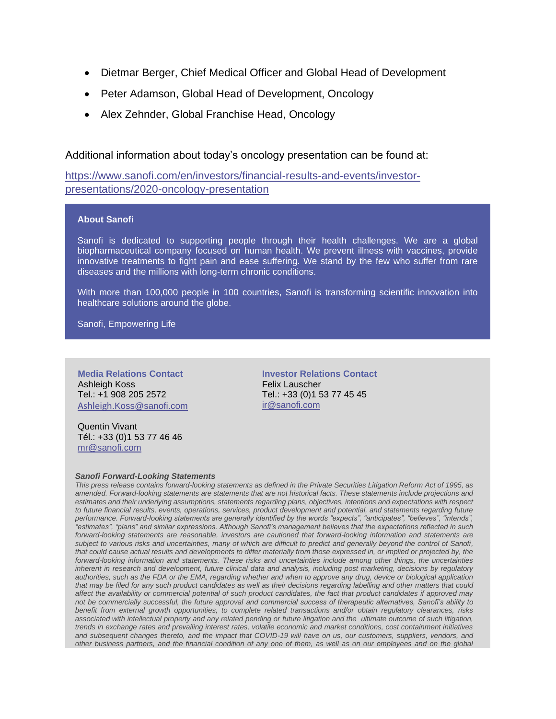- Dietmar Berger, Chief Medical Officer and Global Head of Development
- Peter Adamson, Global Head of Development, Oncology
- Alex Zehnder, Global Franchise Head, Oncology

Additional information about today's oncology presentation can be found at:

[https://www.sanofi.com/en/investors/financial-results-and-events/investor](https://www.sanofi.com/en/investors/financial-results-and-events/investor-presentations/2020-oncology-presentation)[presentations/2020-oncology-presentation](https://www.sanofi.com/en/investors/financial-results-and-events/investor-presentations/2020-oncology-presentation)

## **About Sanofi**

Sanofi is dedicated to supporting people through their health challenges. We are a global biopharmaceutical company focused on human health. We prevent illness with vaccines, provide innovative treatments to fight pain and ease suffering. We stand by the few who suffer from rare diseases and the millions with long-term chronic conditions.

With more than 100,000 people in 100 countries, Sanofi is transforming scientific innovation into healthcare solutions around the globe.

Sanofi, Empowering Life

**Media Relations Contact** Ashleigh Koss Tel.: +1 908 205 2572 Ashleigh[.Koss@sanofi.com](mailto:Ashleigh.Koss@sanofi.com)

Quentin Vivant Tél.: +33 (0)1 53 77 46 46 [mr@sanofi.com](mailto:mr@sanofi.com)

## *Sanofi Forward-Looking Statements*

**Investor Relations Contact** Felix Lauscher Tel.: +33 (0)1 53 77 45 45 [ir@sanofi.com](mailto:ir@sanofi.com)

*This press release contains forward-looking statements as defined in the Private Securities Litigation Reform Act of 1995, as amended. Forward-looking statements are statements that are not historical facts. These statements include projections and estimates and their underlying assumptions, statements regarding plans, objectives, intentions and expectations with respect to future financial results, events, operations, services, product development and potential, and statements regarding future performance. Forward-looking statements are generally identified by the words "expects", "anticipates", "believes", "intends", "estimates", "plans" and similar expressions. Although Sanofi's management believes that the expectations reflected in such forward-looking statements are reasonable, investors are cautioned that forward-looking information and statements are*  subject to various risks and uncertainties, many of which are difficult to predict and generally beyond the control of Sanofi, that could cause actual results and developments to differ materially from those expressed in, or implied or projected by, the forward-looking information and statements. These risks and uncertainties include among other things, the uncertainties *inherent in research and development, future clinical data and analysis, including post marketing, decisions by regulatory authorities, such as the FDA or the EMA, regarding whether and when to approve any drug, device or biological application that may be filed for any such product candidates as well as their decisions regarding labelling and other matters that could affect the availability or commercial potential of such product candidates, the fact that product candidates if approved may not be commercially successful, the future approval and commercial success of therapeutic alternatives, Sanofi's ability to benefit from external growth opportunities, to complete related transactions and/or obtain regulatory clearances, risks associated with intellectual property and any related pending or future litigation and the ultimate outcome of such litigation, trends in exchange rates and prevailing interest rates, volatile economic and market conditions, cost containment initiatives and subsequent changes thereto, and the impact that COVID-19 will have on us, our customers, suppliers, vendors, and other business partners, and the financial condition of any one of them, as well as on our employees and on the global*